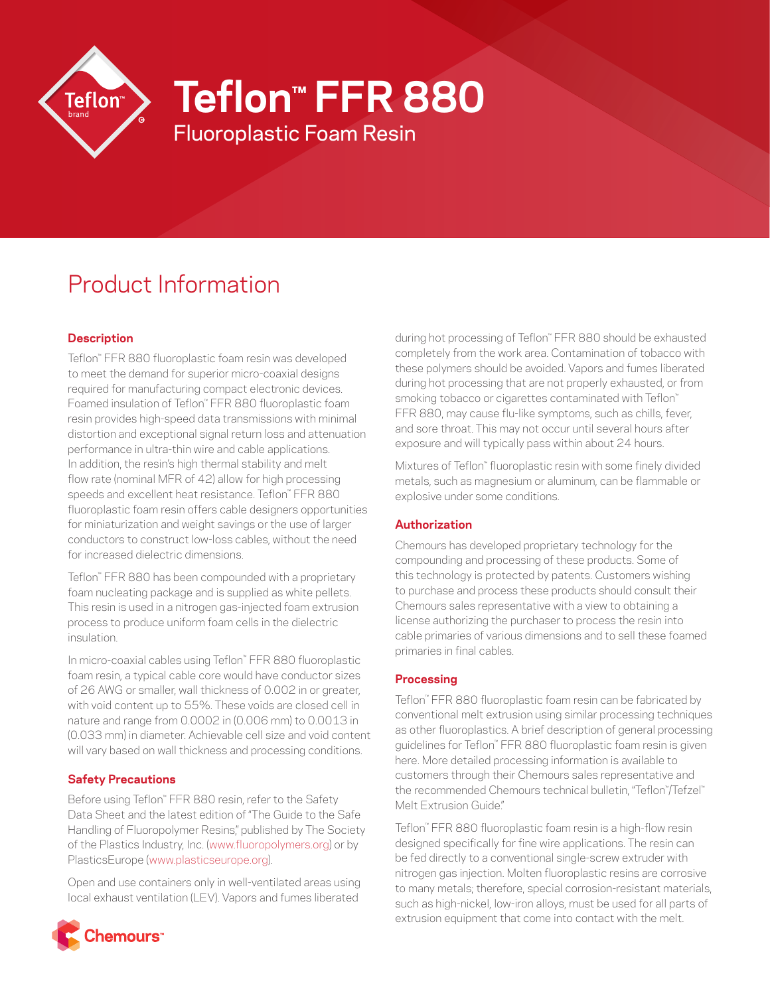

# **Teflon™ FFR 880**

Fluoroplastic Foam Resin

# Product Information

# **Description**

Teflon™ FFR 880 fluoroplastic foam resin was developed to meet the demand for superior micro-coaxial designs required for manufacturing compact electronic devices. Foamed insulation of Teflon™ FFR 880 fluoroplastic foam resin provides high-speed data transmissions with minimal distortion and exceptional signal return loss and attenuation performance in ultra-thin wire and cable applications. In addition, the resin's high thermal stability and melt flow rate (nominal MFR of 42) allow for high processing speeds and excellent heat resistance. Teflon™ FFR 880 fluoroplastic foam resin offers cable designers opportunities for miniaturization and weight savings or the use of larger conductors to construct low-loss cables, without the need for increased dielectric dimensions.

Teflon™ FFR 880 has been compounded with a proprietary foam nucleating package and is supplied as white pellets. This resin is used in a nitrogen gas-injected foam extrusion process to produce uniform foam cells in the dielectric insulation.

In micro-coaxial cables using Teflon™ FFR 880 fluoroplastic foam resin, a typical cable core would have conductor sizes of 26 AWG or smaller, wall thickness of 0.002 in or greater, with void content up to 55%. These voids are closed cell in nature and range from 0.0002 in (0.006 mm) to 0.0013 in (0.033 mm) in diameter. Achievable cell size and void content will vary based on wall thickness and processing conditions.

## **Safety Precautions**

Before using Teflon™ FFR 880 resin, refer to the Safety Data Sheet and the latest edition of "The Guide to the Safe Handling of Fluoropolymer Resins," published by The Society of the Plastics Industry, Inc. [\(www.fluoropolymers.org\)](http://www.fluoropolymers.org) or by PlasticsEurope ([www.plasticseurope.org](http://www.plasticseurope.org)).

Open and use containers only in well-ventilated areas using local exhaust ventilation (LEV). Vapors and fumes liberated



during hot processing of Teflon™ FFR 880 should be exhausted completely from the work area. Contamination of tobacco with these polymers should be avoided. Vapors and fumes liberated during hot processing that are not properly exhausted, or from smoking tobacco or cigarettes contaminated with Teflon<sup>™</sup> FFR 880, may cause flu-like symptoms, such as chills, fever, and sore throat. This may not occur until several hours after exposure and will typically pass within about 24 hours.

Mixtures of Teflon™ fluoroplastic resin with some finely divided metals, such as magnesium or aluminum, can be flammable or explosive under some conditions.

## **Authorization**

Chemours has developed proprietary technology for the compounding and processing of these products. Some of this technology is protected by patents. Customers wishing to purchase and process these products should consult their Chemours sales representative with a view to obtaining a license authorizing the purchaser to process the resin into cable primaries of various dimensions and to sell these foamed primaries in final cables.

## **Processing**

Teflon™ FFR 880 fluoroplastic foam resin can be fabricated by conventional melt extrusion using similar processing techniques as other fluoroplastics. A brief description of general processing guidelines for Teflon™ FFR 880 fluoroplastic foam resin is given here. More detailed processing information is available to customers through their Chemours sales representative and the recommended Chemours technical bulletin, "Teflon™ /Tefzel™ Melt Extrusion Guide."

Teflon™ FFR 880 fluoroplastic foam resin is a high-flow resin designed specifically for fine wire applications. The resin can be fed directly to a conventional single-screw extruder with nitrogen gas injection. Molten fluoroplastic resins are corrosive to many metals; therefore, special corrosion-resistant materials, such as high-nickel, low-iron alloys, must be used for all parts of extrusion equipment that come into contact with the melt.